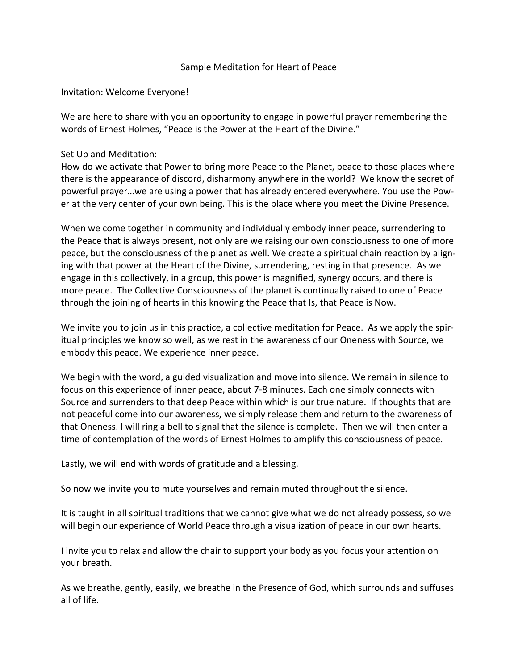# Sample Meditation for Heart of Peace

Invitation: Welcome Everyone!

We are here to share with you an opportunity to engage in powerful prayer remembering the words of Ernest Holmes, "Peace is the Power at the Heart of the Divine."

## Set Up and Meditation:

How do we activate that Power to bring more Peace to the Planet, peace to those places where there is the appearance of discord, disharmony anywhere in the world? We know the secret of powerful prayer…we are using a power that has already entered everywhere. You use the Power at the very center of your own being. This is the place where you meet the Divine Presence.

When we come together in community and individually embody inner peace, surrendering to the Peace that is always present, not only are we raising our own consciousness to one of more peace, but the consciousness of the planet as well. We create a spiritual chain reaction by aligning with that power at the Heart of the Divine, surrendering, resting in that presence. As we engage in this collectively, in a group, this power is magnified, synergy occurs, and there is more peace. The Collective Consciousness of the planet is continually raised to one of Peace through the joining of hearts in this knowing the Peace that Is, that Peace is Now.

We invite you to join us in this practice, a collective meditation for Peace. As we apply the spiritual principles we know so well, as we rest in the awareness of our Oneness with Source, we embody this peace. We experience inner peace.

We begin with the word, a guided visualization and move into silence. We remain in silence to focus on this experience of inner peace, about 7-8 minutes. Each one simply connects with Source and surrenders to that deep Peace within which is our true nature. If thoughts that are not peaceful come into our awareness, we simply release them and return to the awareness of that Oneness. I will ring a bell to signal that the silence is complete. Then we will then enter a time of contemplation of the words of Ernest Holmes to amplify this consciousness of peace.

Lastly, we will end with words of gratitude and a blessing.

So now we invite you to mute yourselves and remain muted throughout the silence.

It is taught in all spiritual traditions that we cannot give what we do not already possess, so we will begin our experience of World Peace through a visualization of peace in our own hearts.

I invite you to relax and allow the chair to support your body as you focus your attention on your breath.

As we breathe, gently, easily, we breathe in the Presence of God, which surrounds and suffuses all of life.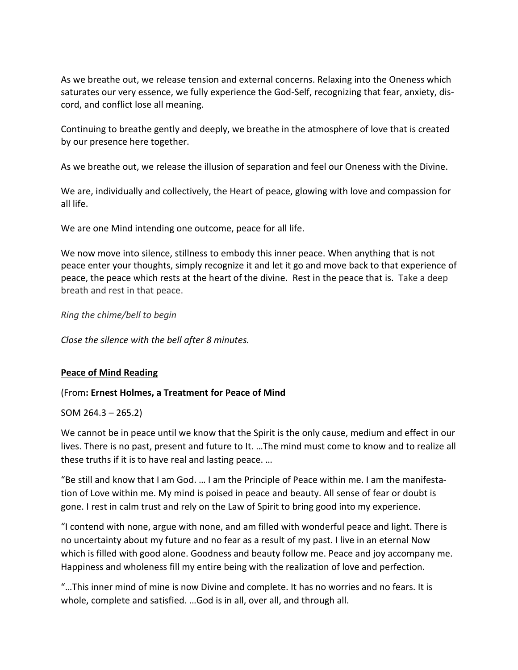As we breathe out, we release tension and external concerns. Relaxing into the Oneness which saturates our very essence, we fully experience the God-Self, recognizing that fear, anxiety, discord, and conflict lose all meaning.

Continuing to breathe gently and deeply, we breathe in the atmosphere of love that is created by our presence here together.

As we breathe out, we release the illusion of separation and feel our Oneness with the Divine.

We are, individually and collectively, the Heart of peace, glowing with love and compassion for all life.

We are one Mind intending one outcome, peace for all life.

We now move into silence, stillness to embody this inner peace. When anything that is not peace enter your thoughts, simply recognize it and let it go and move back to that experience of peace, the peace which rests at the heart of the divine. Rest in the peace that is. Take a deep breath and rest in that peace.

*Ring the chime/bell to begin*

*Close the silence with the bell after 8 minutes.*

## **Peace of Mind Reading**

### (From**: Ernest Holmes, a Treatment for Peace of Mind**

### SOM 264.3 – 265.2)

We cannot be in peace until we know that the Spirit is the only cause, medium and effect in our lives. There is no past, present and future to It. …The mind must come to know and to realize all these truths if it is to have real and lasting peace. …

"Be still and know that I am God. … I am the Principle of Peace within me. I am the manifestation of Love within me. My mind is poised in peace and beauty. All sense of fear or doubt is gone. I rest in calm trust and rely on the Law of Spirit to bring good into my experience.

"I contend with none, argue with none, and am filled with wonderful peace and light. There is no uncertainty about my future and no fear as a result of my past. I live in an eternal Now which is filled with good alone. Goodness and beauty follow me. Peace and joy accompany me. Happiness and wholeness fill my entire being with the realization of love and perfection.

"…This inner mind of mine is now Divine and complete. It has no worries and no fears. It is whole, complete and satisfied. …God is in all, over all, and through all.